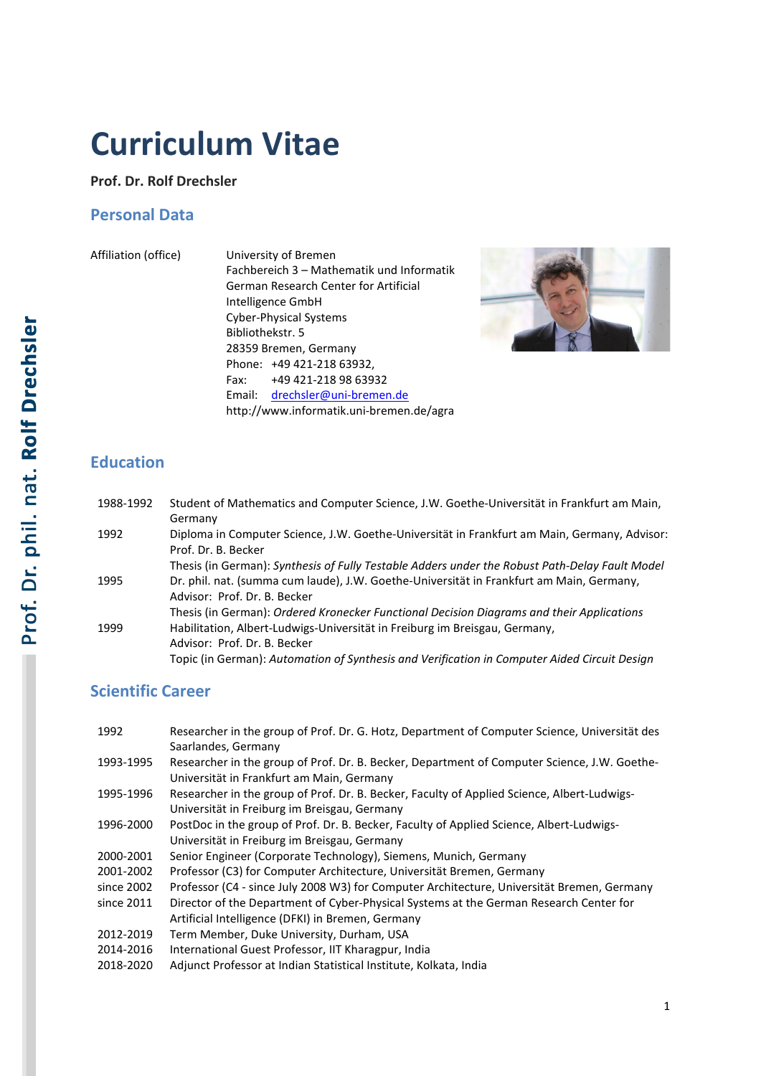# **Curriculum Vitae**

#### **Prof. Dr. Rolf Drechsler**

### **Personal Data**

Affiliation (office)

| University of Bremen                      |  |  |
|-------------------------------------------|--|--|
| Fachbereich 3 - Mathematik und Informatik |  |  |
| German Research Center for Artificial     |  |  |
| Intelligence GmbH                         |  |  |
| <b>Cyber-Physical Systems</b>             |  |  |
| Bibliothekstr. 5                          |  |  |
| 28359 Bremen, Germany                     |  |  |
| Phone: +49 421-218 63932,                 |  |  |
| +49 421-218 98 63932<br>Fax:              |  |  |
| Email: drechsler@uni-bremen.de            |  |  |
| http://www.informatik.uni-bremen.de/agra  |  |  |



### **Education**

| 1988-1992 | Student of Mathematics and Computer Science, J.W. Goethe-Universität in Frankfurt am Main,<br>Germany               |
|-----------|---------------------------------------------------------------------------------------------------------------------|
| 1992      | Diploma in Computer Science, J.W. Goethe-Universität in Frankfurt am Main, Germany, Advisor:<br>Prof. Dr. B. Becker |
|           | Thesis (in German): Synthesis of Fully Testable Adders under the Robust Path-Delay Fault Model                      |
| 1995      | Dr. phil. nat. (summa cum laude), J.W. Goethe-Universität in Frankfurt am Main, Germany,                            |
|           | Advisor: Prof. Dr. B. Becker                                                                                        |
|           | Thesis (in German): Ordered Kronecker Functional Decision Diagrams and their Applications                           |
| 1999      | Habilitation, Albert-Ludwigs-Universität in Freiburg im Breisgau, Germany,                                          |
|           | Advisor: Prof. Dr. B. Becker                                                                                        |
|           | Topic (in German): Automation of Synthesis and Verification in Computer Aided Circuit Design                        |

## **Scientific Career**

| 1992       | Researcher in the group of Prof. Dr. G. Hotz, Department of Computer Science, Universität des |
|------------|-----------------------------------------------------------------------------------------------|
|            | Saarlandes, Germany                                                                           |
| 1993-1995  | Researcher in the group of Prof. Dr. B. Becker, Department of Computer Science, J.W. Goethe-  |
|            | Universität in Frankfurt am Main, Germany                                                     |
| 1995-1996  | Researcher in the group of Prof. Dr. B. Becker, Faculty of Applied Science, Albert-Ludwigs-   |
|            | Universität in Freiburg im Breisgau, Germany                                                  |
| 1996-2000  | PostDoc in the group of Prof. Dr. B. Becker, Faculty of Applied Science, Albert-Ludwigs-      |
|            | Universität in Freiburg im Breisgau, Germany                                                  |
| 2000-2001  | Senior Engineer (Corporate Technology), Siemens, Munich, Germany                              |
| 2001-2002  | Professor (C3) for Computer Architecture, Universität Bremen, Germany                         |
| since 2002 | Professor (C4 - since July 2008 W3) for Computer Architecture, Universität Bremen, Germany    |
| since 2011 | Director of the Department of Cyber-Physical Systems at the German Research Center for        |
|            | Artificial Intelligence (DFKI) in Bremen, Germany                                             |
| 2012-2019  | Term Member, Duke University, Durham, USA                                                     |
| 2014-2016  | International Guest Professor, IIT Kharagpur, India                                           |
| 2018-2020  | Adjunct Professor at Indian Statistical Institute, Kolkata, India                             |
|            |                                                                                               |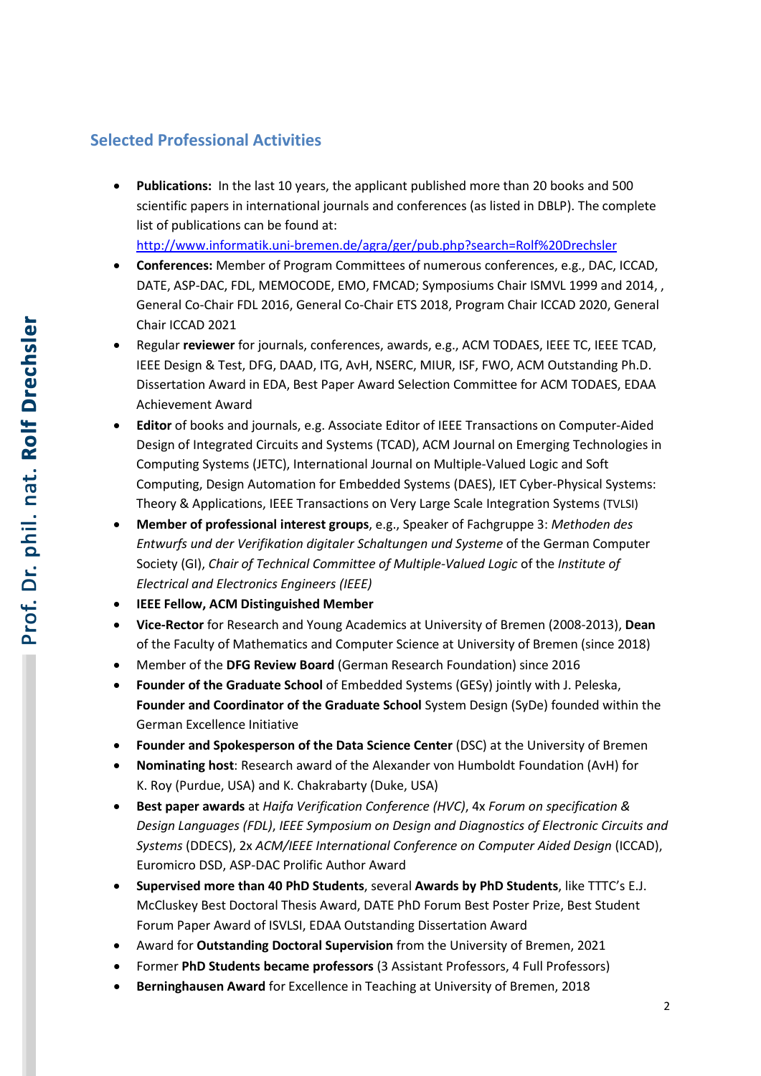#### **Selected Professional Activities**

• **Publications:** In the last 10 years, the applicant published more than 20 books and 500 scientific papers in international journals and conferences (as listed in DBLP). The complete list of publications can be found at:

<http://www.informatik.uni-bremen.de/agra/ger/pub.php?search=Rolf%20Drechsler>

- **Conferences:** Member of Program Committees of numerous conferences, e.g., DAC, ICCAD, DATE, ASP-DAC, FDL, MEMOCODE, EMO, FMCAD; Symposiums Chair ISMVL 1999 and 2014, , General Co-Chair FDL 2016, General Co-Chair ETS 2018, Program Chair ICCAD 2020, General Chair ICCAD 2021
- Regular **reviewer** for journals, conferences, awards, e.g., ACM TODAES, IEEE TC, IEEE TCAD, IEEE Design & Test, DFG, DAAD, ITG, AvH, NSERC, MIUR, ISF, FWO, ACM Outstanding Ph.D. Dissertation Award in EDA, Best Paper Award Selection Committee for ACM TODAES, EDAA Achievement Award
- **Editor** of books and journals, e.g. Associate Editor of IEEE Transactions on Computer-Aided Design of Integrated Circuits and Systems (TCAD), ACM Journal on Emerging Technologies in Computing Systems (JETC), International Journal on Multiple-Valued Logic and Soft Computing, Design Automation for Embedded Systems (DAES), IET Cyber-Physical Systems: Theory & Applications, IEEE Transactions on Very Large Scale Integration Systems (TVLSI)
- **Member of professional interest groups**, e.g., Speaker of Fachgruppe 3: *Methoden des Entwurfs und der Verifikation digitaler Schaltungen und Systeme* of the German Computer Society (GI), *Chair of Technical Committee of Multiple-Valued Logic* of the *Institute of Electrical and Electronics Engineers (IEEE)*
- **IEEE Fellow, ACM Distinguished Member**
- **Vice-Rector** for Research and Young Academics at University of Bremen (2008-2013), **Dean** of the Faculty of Mathematics and Computer Science at University of Bremen (since 2018)
- Member of the **DFG Review Board** (German Research Foundation) since 2016
- **Founder of the Graduate School** of Embedded Systems (GESy) jointly with J. Peleska, **Founder and Coordinator of the Graduate School** System Design (SyDe) founded within the German Excellence Initiative
- **Founder and Spokesperson of the Data Science Center** (DSC) at the University of Bremen
- **Nominating host**: Research award of the Alexander von Humboldt Foundation (AvH) for K. Roy (Purdue, USA) and K. Chakrabarty (Duke, USA)
- **Best paper awards** at *Haifa Verification Conference (HVC)*, 4x *Forum on specification & Design Languages (FDL)*, *IEEE Symposium on Design and Diagnostics of Electronic Circuits and Systems* (DDECS), 2x *ACM/IEEE International Conference on Computer Aided Design* (ICCAD), Euromicro DSD, ASP-DAC Prolific Author Award
- **Supervised more than 40 PhD Students**, several **Awards by PhD Students**, like TTTC's E.J. McCluskey Best Doctoral Thesis Award, DATE PhD Forum Best Poster Prize, Best Student Forum Paper Award of ISVLSI, EDAA Outstanding Dissertation Award
- Award for **Outstanding Doctoral Supervision** from the University of Bremen, 2021
- Former **PhD Students became professors** (3 Assistant Professors, 4 Full Professors)
- **Berninghausen Award** for Excellence in Teaching at University of Bremen, 2018